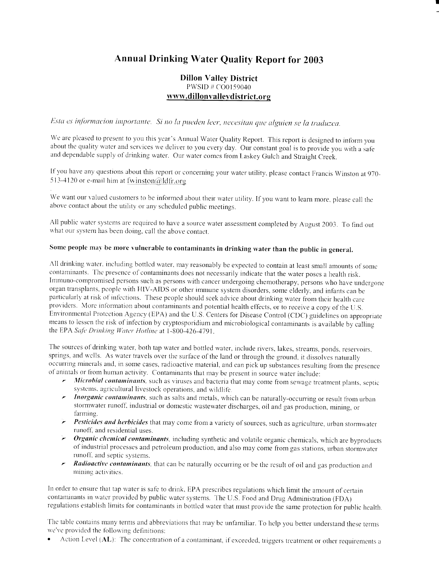# Annual Drinking Water Quality Report for 2003

# Dillon Valley District PWSID # C00159040 www.dillonvallevdistrict.org

Esta es informacion importante. Si no la pueden leer, necesitan que alguien se la traduzca.

We are pleased to present to you this year's Annual Water Quality Report. This report is designed to inform you about the quality water and services we deliver to you every day. Our constant goal is to provide you with a s and dependable supply of drinking water. Our water comes from Laskey Gulch and Straight Creek.

If you have any questions about this report or concerning your water utility, please contact Francis Winston at 970-513-4120 or e-mail him at fwinston@ldfr.org

We want our valued customers to be informed about their water utility. If you want to learn more, please call the above contact about the utility or any scheduled public meetings.

All public water systems are required to have <sup>a</sup> source water assessment completed by August 2003. To find out what our system has been doing, call the above contact.

# Some people may be more vulnerable to contaminants in drinking water than the public in general.

All drinking water, including bottled water, may reasonably be expected to contain at least small amounts of some contaminants. The presence of contaminants does not necessarily indicate that the water poses a health risk. Immuno-compromised persons such as persons with cancer undergoing chemotherapy, persons who have undergone organ transplants, people with HIV-AIDS or other immune system disorders, some elderly, and infants can be particularly at risk of infections. These people should seek advice about drinking water from their health care providers. More information about contaminants and potential health effects, or to receive a copy of the U.S. Environmental Protection Agency (EPA) and the U .S . Centers for Disease Control (CDC) guidelines on appropriate means to lessen the risk of infection by cryptosporidium and microbiological contaminants is available by calling the EPA Safe Drinking Water Hotline at 1-800-426-4791.

The sources of drinking water, both tap water and bottled water, include rivers, lakes, streams, ponds, reservoirs, springs, and wells. As water travels over the surface of the land or through the ground, it dissolves naturally occurring minerals and, in some cases, radioactive material, and can pick up substances resulting from the presence of animals or from human activity. Contaminants that may be present in source water include:

- Microbial contaminants, such as viruses and bacteria that may come from sewage treatment plants, septic systems, agricultural livestock operations, and wildlife .
- $\sim$  Inorganic contaminants, such as salts and metals, which can be naturally-occurring or result from urban stormwater runoff, industrial or domestic wastewater discharges, oil and gas production, mining, or farming.
- $\triangleright$  Pesticides and herbicides that may come from a variety of sources, such as agriculture, urban stormwater runoff, and residential uses.
- $\triangleright$  Organic chemical contaminants, including synthetic and volatile organic chemicals, which are byproducts of industrial processes and petroleum production, and also may come from gas stations, urban stormwater runoff, and septic systems.
- **Radioactive contaminants**, that can be naturally occurring or be the result of oil and gas production and mining activities .

In order to ensure that tap water is safe to drink, EPA prescribes regulations which limit the amount of certain contaminants in water provided by public water systems. The U.S. Food and Drug Administration (FDA) regulations establish limits for contaminants in bottled water that must provide the same protection for public health.

The table contains many terms and abbreviations that may be unfamiliar. To help you better understand these terms we've provided the following definitions:

• Action Level (AL): The concentration of a contaminant, if exceeded, triggers treatment or other requirements a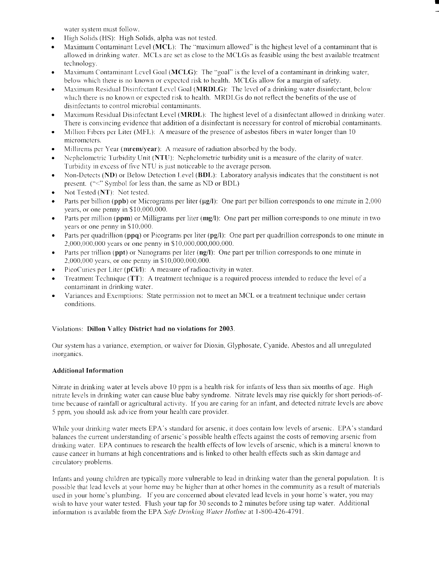water system must follow.

- High Solids (HS): High Solids, alpha was not tested.
- Maximum Contaminant Level (MCL): The "maximum allowed" is the highest level of a contaminant that is allowed in drinking water. MCLs are set as close to the MCLGs as feasible using the best available treatment technology.
- Maximum Contaminant Level Goal (MCLG): The "goal" is the level of a contaminant in drinking water, below which there is no known or expected risk to health. MCLGs allow for a margin of safety.
- Maximum Residual Disinfectant Level Goal (**MRDLG**): The level of a drinking water disinfectant, below which there is no known or expected risk to health. MRDLGs do not reflect the benefits of the use of disinfectants to control microbial contaminants.
- " Maximum Residual Disinfectant Level (MRDL): The highest level of <sup>a</sup> disinfectant allowed in drinking water. There is convincing evidence that addition of <sup>a</sup> disinfectant is necessary for control of microbial contaminants .
- " Million Fibers per Liter (MFL): A measure of the presence of asbestos fibers in water longer than <sup>10</sup> micrometers.
- Millirems per Year (mrem/year): A measure of radiation absorbed by the body.
- " Nephelometric Turbidity Unit (NTU): Nephelometric turbidity unit is a measure of the clarity of water. Turbidity in excess of five NTU is just noticeable to the average person.
- Non-Detects (ND) or Below Detection Level (BDL): Laboratory analysis indicates that the constituent is not present. ("<" Symbol for less than, the same as ND or BDL)
- Not Tested (NT): Not tested.
- Parts per billion (ppb) or Micrograms per liter ( $\mu$ g/l): One part per billion corresponds to one minute in 2,000 years, or one penny in \$10,000,000.
- Parts per million (ppm) or Milligrams per liter (mg/l): One part per million corresponds to one minute in two years or one penny in \$10,000.
- Parts per quadrillion (ppq) or Picograms per liter (pg/l): One part per quadrillion corresponds to one minute in 2,000,000,000 years or one penny in \$10,000,000,000,000 .
- Parts per trillion (ppt) or Nanograms per liter (ng/l): One part per trillion corresponds to one minute in 2,000,000 years, or one penny in \$10,000,000,000.
- PicoCuries per Liter (pCi/l): A measure of radioactivity in water.
- Treatment Technique (TT): A treatment technique is a required process intended to reduce the level of a contaminant in drinking water.
- Variances and Exemptions: State permission not to meet an MCL or a treatment technique under certain conditions .

## Violations: Dillon Valley District had no violations for 2003.

Our system has <sup>a</sup> variance, exemption, or waiver for Dioxin, Glyphosate, Cyanide, Abestos and all unregulated inorganics .

## Additional Information

Nitrate in drinking water at levels above 10 ppm is <sup>a</sup> health risk for infants of less than six months of age. High nitrate levels in drinking water can cause blue baby syndrome. Nitrate levels may rise quickly for short periods-oftime because of rainfall or agricultural activity. If you are caring for an infant, and detected nitrate levels are above 5 ppm, you should ask advice from your health care provider .

While your drinking water meets EPA's standard for arsenic, it does contain low levels of arsenic. EPA's standard balances the current understanding of arsenic's possible health effects against the costs of removing arsenic from drinking water. EPA continues to research the health effects of low levels of arsenic, which is a mineral known to cause cancer in humans at high concentrations and is linked to other health effects such as skin damage and circulatory problems .

Infants and young children are typically more vulnerable to lead in drinking water than the general population . It is possible that lead levels at your home may be higher than at other homes in the community as a result of materials used in your home's plumbing. If you are concerned about elevated lead levels in your home's water, you may wish to have your water tested. Flush your tap for 30 seconds to 2 minutes before using tap water. Additional information is available from the EPA Safe Drinking Water Hotline at 1-800-426-4791.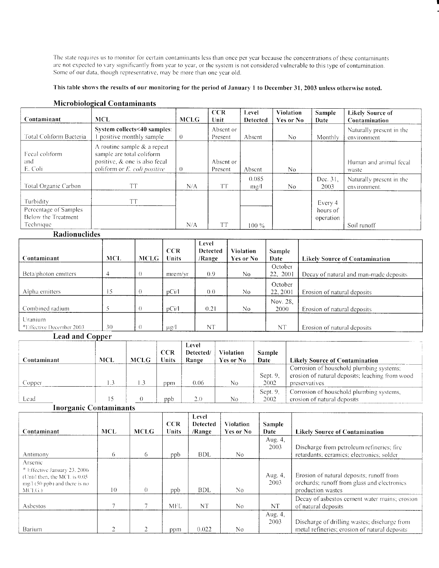The state requires us to monitor for certain contaminants less than once per year because the concentrations of these contaminants are not expected to vary significantly from year to year, or the system is not considered vulnerable to this type of contamination . Some of our data, though representative, may be more than one year old.

#### This table shows the results of our monitoring for the period of January <sup>1</sup> to December 31, 2003 unless otherwise noted.

| Contaminant                                                            | <b>MCL</b>                                                                                                                            | <b>MCLG</b> | <b>CCR</b><br>Unit   | Level<br><b>Detected</b> | <b>Violation</b><br>Yes or No | <b>Sample</b><br>Date            | <b>Likely Source of</b><br>Contamination |
|------------------------------------------------------------------------|---------------------------------------------------------------------------------------------------------------------------------------|-------------|----------------------|--------------------------|-------------------------------|----------------------------------|------------------------------------------|
| Total Coliform Bacteria                                                | System collects<40 samples:<br>positive monthly sample                                                                                | $\theta$    | Absent or<br>Present | Absent                   | N <sub>0</sub>                | Monthly                          | Naturally present in the<br>environment  |
| Fecal coliform<br>and<br>E. Coli                                       | A routine sample $&$ a repeat<br>sample are total coliform<br>positive, & one is also fecal<br>coliform or $E$ , <i>coli positive</i> | $\theta$    | Absent or<br>Present | Absent                   | No.                           |                                  | Human and animal fecal<br>waste          |
| Total Organic Carbon                                                   | <b>TT</b>                                                                                                                             | N/A         | <b>TT</b>            | 0.085<br>mg/l            | No.                           | Dec. 31.<br>2003                 | Naturally present in the<br>environment. |
| Turbidity<br>Percentage of Samples<br>Below the Treatment<br>Technique | <b>TT</b>                                                                                                                             | N/A         | <b>TT</b>            | $100\%$                  |                               | Every 4<br>hours of<br>operation | Soil runoff                              |

### Microbiological Contaminants

#### Radionuclides

|                                                  |                |             | <b>CCR</b> | Level<br>Detected | <b>Violation</b> | <b>Sample</b>    |                                        |
|--------------------------------------------------|----------------|-------------|------------|-------------------|------------------|------------------|----------------------------------------|
| Contaminant                                      | <b>MCL</b>     | <b>MCLG</b> | Units      | /Range            | Yes or No        | Date             | <b>Likely Source of Contamination</b>  |
|                                                  |                |             |            |                   |                  | October          |                                        |
| Beta/photon emitters                             | $\overline{4}$ | $\theta$    | mrem/vr    | 0.9 <sup>°</sup>  | N <sub>0</sub>   | 22, 2001         | Decay of natural and man-made deposits |
|                                                  |                |             |            |                   |                  | October          |                                        |
| Alpha emitters                                   | 15             | $\theta$    | pCi/l      | 0.0               | No.              | 22, 2001         | Erosion of natural deposits            |
| Combined radium                                  |                | $\theta$    | pCi/1      | 0.21              | N <sub>0</sub>   | Nov. 28,<br>2000 | Erosion of natural deposits            |
| Uranium.<br><sup>*</sup> Effective December 2003 | 30             | $\theta$    | -µg/l      | NT                |                  | <b>NT</b>        | Erosion of natural deposits            |

#### Lead and Copper

| Contaminant | <b>MCL</b> | <b>MCLG</b> | <b>CCR</b><br>Units | Level<br>Detected/<br>Range | <b>Violation</b><br>Yes or No | <b>Sample</b><br>Date | <b>Likely Source of Contamination</b>                                                                        |
|-------------|------------|-------------|---------------------|-----------------------------|-------------------------------|-----------------------|--------------------------------------------------------------------------------------------------------------|
| Copper      |            | $\cdot$ .   | וחספ                | 0.06                        | No                            | Sept. $9$ ,<br>2002   | Corrosion of household plumbing systems;<br>erosion of natural deposits; leaching from wood<br>preservatives |
| Lead        |            |             | ppb                 | 2.0                         | No                            | Sept. $9$ ,<br>2002   | Corrosion of household plumbing systems,<br>erosion of natural deposits                                      |

### Inorganic Contaminants

| Contaminant                                                                                                             | <b>MCL</b> | <b>MCLG</b> | <b>CCR</b><br><b>Units</b> | Level<br><b>Detected</b><br>/Range | <b>Violation</b><br>Yes or No | Sample<br>Date  | <b>Likely Source of Contamination</b>                                                                        |
|-------------------------------------------------------------------------------------------------------------------------|------------|-------------|----------------------------|------------------------------------|-------------------------------|-----------------|--------------------------------------------------------------------------------------------------------------|
| Antimony                                                                                                                | 6          | 6           | ppb                        | <b>BDL</b>                         | No                            | Aug. 4,<br>2003 | Discharge from petroleum refineries; fire<br>retardants; ceramics; electronics; solder                       |
| Arsenic<br>* Effective January 23, 2006<br>(Until then, the MCL is 0.05)<br>$mg/1(50$ ppb) and there is no<br>$MCLG$ .) | $\vert$ () | $\theta$    | ppb                        | <b>BDL</b>                         | No.                           | Aug. 4,<br>2003 | Erosion of natural deposits; runoff from<br>orchards; runoff from glass and electronics<br>production wastes |
| Asbestos                                                                                                                |            |             | <b>MFL</b>                 | <b>NT</b>                          | No                            | <b>NT</b>       | Decay of asbestos cement water mains; erosion<br>of natural deposits                                         |
| Barium                                                                                                                  |            |             | ppm                        | 0.022                              | No                            | Aug. 4,<br>2003 | Discharge of drilling wastes; discharge from<br>metal refineries; erosion of natural deposits                |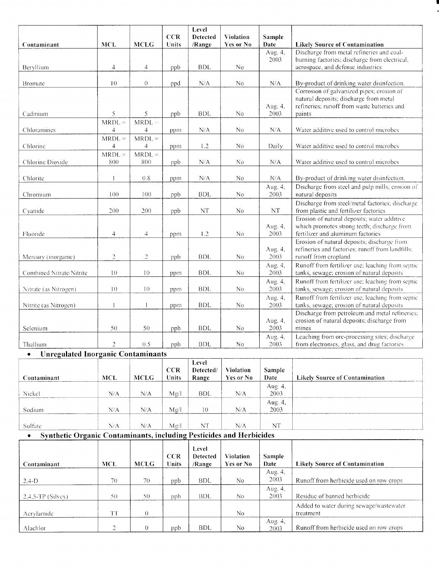|                                                                     |                            |                                      |                     | Level                     |                               |                 |                                                                                                 |
|---------------------------------------------------------------------|----------------------------|--------------------------------------|---------------------|---------------------------|-------------------------------|-----------------|-------------------------------------------------------------------------------------------------|
| Contaminant                                                         | <b>MCL</b>                 | <b>MCLG</b>                          | <b>CCR</b><br>Units | <b>Detected</b><br>/Range | <b>Violation</b><br>Yes or No | Sample<br>Date  | <b>Likely Source of Contamination</b>                                                           |
|                                                                     |                            |                                      |                     |                           |                               | Aug. 4,         | Discharge from metal refineries and coal-                                                       |
|                                                                     |                            |                                      |                     |                           |                               | 2003            | burning factories; discharge from electrical,                                                   |
| Beryllium                                                           | $\overline{4}$             | 4                                    | ppb                 | <b>BDL</b>                | No                            |                 | aerospace, and defense industries                                                               |
| <b>Bromate</b>                                                      | 10                         | $\theta$                             |                     | N/A                       | No                            | N/A             | By-product of drinking water disinfection.                                                      |
|                                                                     |                            |                                      | ppd                 |                           |                               |                 | Corrosion of galvanized pipes; erosion of                                                       |
|                                                                     |                            |                                      |                     |                           |                               |                 | natural deposits; discharge from metal                                                          |
|                                                                     |                            |                                      |                     |                           |                               | Aug. 4,         | refineries; runoff from waste batteries and                                                     |
| Cadmium                                                             | 5                          | 5                                    | ppb                 | BDL.                      | No                            | 2003            | paints                                                                                          |
| Chloramines                                                         | $MRDL =$<br>$\overline{4}$ | MRDL                                 |                     | N/A                       | No                            | N/A             | Water additive used to control microbes                                                         |
|                                                                     | $MRDL =$                   | $\overline{\mathcal{A}}$<br>$MRDL =$ | ppm                 |                           |                               |                 |                                                                                                 |
| Chlorine                                                            | 4                          | 4                                    | ppm                 | 1.2                       | N <sub>0</sub>                | Daily           | Water additive used to control microbes                                                         |
|                                                                     | $MRDL =$                   | $\overline{MRDL} =$                  |                     |                           |                               |                 |                                                                                                 |
| Chlorine Dioxide                                                    | 800                        | 800                                  | ppb                 | N/A                       | No.                           | N/A             | Water additive used to control microbes                                                         |
|                                                                     |                            |                                      |                     |                           |                               |                 |                                                                                                 |
| Chlorite                                                            |                            | 0.8                                  | ppm                 | N/A                       | No                            | N/A             | By-product of drinking water disinfection.                                                      |
|                                                                     | 100                        | 100                                  |                     | <b>BDL</b>                | No                            | Aug. 4,<br>2003 | Discharge from steel and pulp mills; erosion of<br>natural deposits                             |
| Chromium                                                            |                            |                                      | ppb                 |                           |                               |                 | Discharge from steel/metal factories; discharge                                                 |
| Cyanide                                                             | 200                        | 200                                  | ppb                 | $\rm{NT}$                 | No                            | $\rm{NT}$       | from plastic and fertilizer factories                                                           |
|                                                                     |                            |                                      |                     |                           |                               |                 | Erosion of natural deposits; water additive                                                     |
|                                                                     |                            |                                      |                     |                           |                               | Aug. 4,         | which promotes strong teeth; discharge from                                                     |
| Fluoride                                                            | 4                          | 4                                    | ppm                 | 1.2                       | N <sub>0</sub>                | 2003            | fertilizer and aluminum factories                                                               |
|                                                                     |                            |                                      |                     |                           |                               | Aug. 4,         | Erosion of natural deposits; discharge from<br>refineries and factories; runoff from landfills; |
| Mercury (inorganic)                                                 | $\overline{c}$             | $\overline{c}$                       | ppb                 | <b>BDL</b>                | N <sub>0</sub>                | 2003            | runoff from cropland                                                                            |
|                                                                     |                            |                                      |                     |                           |                               | Aug. 4,         | Runoff from fertilizer use; leaching from septic                                                |
| Combined Nitrate/Nitrite                                            | $10\,$                     | 10                                   | ppm                 | BDL                       | No                            | 2003            | tanks, sewage; erosion of natural deposits                                                      |
|                                                                     |                            |                                      |                     |                           |                               | Aug. 4,         | Runoff from fertilizer use; leaching from septic                                                |
| Nitrate (as Nitrogen)                                               | $10$                       | 10                                   | ppm                 | <b>BDL</b>                | No                            | 2003            | tanks, sewage; erosion of natural deposits                                                      |
| Nitrite (as Nitrogen)                                               |                            |                                      | ppm                 | <b>BDL</b>                | No                            | Aug. 4,<br>2003 | Runoff from fertilizer use; leaching from septic<br>tanks, sewage, erosion of natural deposits  |
|                                                                     |                            |                                      |                     |                           |                               |                 | Discharge from petroleum and metal refineries;                                                  |
|                                                                     |                            |                                      |                     |                           |                               | Aug. 4,         | erosion of natural deposits; discharge from                                                     |
| Selenium                                                            | 50                         | 50                                   | ppb                 | <b>BDL</b>                | No.                           | 2003            | mines                                                                                           |
|                                                                     |                            |                                      |                     |                           |                               | Aug. 4,         | Leaching from ore-processing sites; discharge                                                   |
| Thallium                                                            | $\sqrt{2}$                 | $0.5\,$                              | ppb                 | <b>BDL</b>                | No                            | 2003            | from electronics, glass, and drug factories                                                     |
| <b>Unregulated Inorganic Contaminants</b><br>$\bullet$              |                            |                                      |                     | Level                     |                               |                 |                                                                                                 |
|                                                                     |                            |                                      | CCR                 | Detected/                 | Violation                     | Sample          |                                                                                                 |
| Contaminant                                                         | <b>MCL</b>                 | <b>MCLG</b>                          | Units               | Range                     | Yes or No                     | Date            | <b>Likely Source of Contamination</b>                                                           |
|                                                                     |                            |                                      |                     |                           |                               | Aug. 4,         |                                                                                                 |
| Nickel                                                              | N/A                        | N/A                                  | Mg/l                | <b>BDL</b>                | N/A                           | 2003            |                                                                                                 |
|                                                                     | $\rm N/A$                  | N/A                                  |                     |                           | ${\rm N/A}$                   | Aug. 4,<br>2003 |                                                                                                 |
| Sodium                                                              |                            |                                      | Mg/l                | 10                        |                               |                 |                                                                                                 |
| Sulfate                                                             | N/A                        | N/A                                  | Mg/l                | NT                        | ${\rm N/A}$                   | $\rm{NT}$       |                                                                                                 |
| Synthetic Organic Contaminants, including Pesticides and Herbicides |                            |                                      |                     |                           |                               |                 |                                                                                                 |
|                                                                     |                            |                                      |                     | Level                     |                               |                 |                                                                                                 |
|                                                                     |                            |                                      | CCR                 | Detected                  | Violation                     | Sample          |                                                                                                 |
| Contaminant                                                         | MCL.                       | <b>MCLG</b>                          | Units               | /Range                    | Yes or No                     | Date            | <b>Likely Source of Contamination</b>                                                           |
|                                                                     |                            |                                      |                     |                           |                               | Aug. 4.         |                                                                                                 |

| $2,4-D$             | 70  | 70 | ppb | BDL        | No             | Aug. $4$ ,<br>2003 | Runoff from herbicide used on row crops              |
|---------------------|-----|----|-----|------------|----------------|--------------------|------------------------------------------------------|
| $-2,4,5-TP(Silvex)$ | 5() | 50 | ppb | BDL        | N <sub>0</sub> | Aug. 4,<br>2003    | Residue of banned herbicide                          |
| Acrylamide          | TYP |    |     |            | No             |                    | Added to water during sewage/wastewater<br>treatment |
| Alachlor            |     |    | ppb | <b>BDL</b> | N <sub>0</sub> | Aug. 4,<br>2003    | Runoff from herbicide used on row crops              |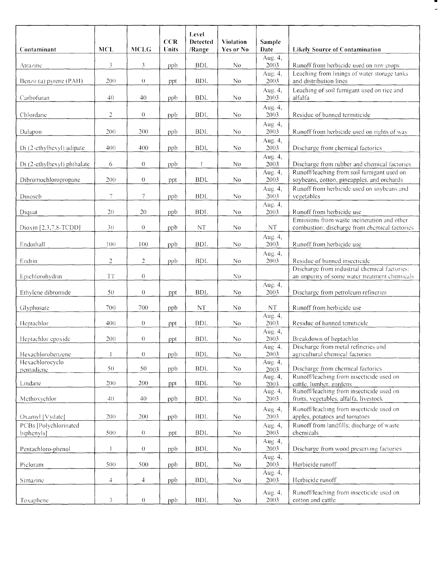|                                     |                |                  | <b>CCR</b> | Level<br><b>Detected</b> | <b>Violation</b> | Sample            |                                                                                                |
|-------------------------------------|----------------|------------------|------------|--------------------------|------------------|-------------------|------------------------------------------------------------------------------------------------|
| Contaminant                         | <b>MCL</b>     | <b>MCLG</b>      | Units      | /Range                   | Yes or No        | Date              | <b>Likely Source of Contamination</b>                                                          |
| Atrazine                            | $\mathfrak{Z}$ | 3                | ppb        | <b>BDL</b>               | N <sub>0</sub>   | Aug. 4,<br>2003   | Runoff from herbicide used on row crops                                                        |
| Benzo (a) pyrene (PAH)              | 200            | $\theta$         | ppt        | <b>BDL</b>               | N <sub>0</sub>   | Aug. 4,<br>2003   | Leaching from linings of water storage tanks<br>and distribution lines                         |
| Carbofuran                          | 40             | 40               | ppb        | <b>BDL</b>               | No               | Aug. 4,<br>2003   | Leaching of soil fumigant used on rice and<br>alfalfa                                          |
| Chlordane                           | $\sqrt{2}$     | $\theta$         | ppb        | <b>BDL</b>               | No               | Aug. 4,<br>2003   | Residue of banned termiticide                                                                  |
| Dalapon                             | 200            | 200              | ppb        | BDL                      | N <sub>o</sub>   | Aug. 4,<br>2003   | Runoff from herbicide used on rights of wav                                                    |
| Di (2-ethylhexyl) adipate           | 400            | 400              | ppb        | <b>BDL</b>               | No.              | Aug. 4,<br>2003   | Discharge from chemical factories                                                              |
| Di (2-ethylhexyl) phthalate         | 6              | $\theta$         | ppb        | $\mathsf{I}$             | No               | Aug. 4,<br>2003   | Discharge from rubber and chemical factories                                                   |
| Dibromochloropropane                | 200            | $\theta$         | ppt        | <b>BDL</b>               | N <sub>0</sub>   | Aug. 4,<br>2003   | Runoff/leaching from soil fumigant used on<br>soybeans, cotton, pineapples, and orchards       |
| Dinoseb                             | 7              | $\tau$           | ppb        | <b>BDL</b>               | N <sub>0</sub>   | Aug. 4,<br>2003   | Runoff from herbicide used on soybeans and<br>vegetables                                       |
| Diquat                              | 20             | 20               | ppb        | BDL.                     | No               | Aug. 4,<br>2003   | Runoff from herbicide use                                                                      |
| Dioxin [2,3,7,8-TCDD]               | 30             | $\theta$         | ppb        | <b>NT</b>                | N <sub>0</sub>   | $\rm{NT}$         | Emissions from waste incineration and other<br>combustion; discharge from chemical factories   |
| Endothall                           | 100            | 100              | ppb        | BDL                      | No               | Aug. 4,<br>2003   | Runoff from herbicide use                                                                      |
| Endrin                              | $\overline{2}$ | $\overline{2}$   | ppb        | <b>BDL</b>               | No               | Aug. 4,<br>2003   | Residue of banned insecticide                                                                  |
| Epichlorohydrin                     | $T\,$          | $\theta$         |            |                          | No               |                   | Discharge from industrial chemical factories:<br>an impurity of some water treatment chemicals |
| Ethylene dibromide                  | 50             | $\theta$         | ppt        | <b>BDL</b>               | No               | Aug. 4,<br>2003   | Discharge from petroleum refineries                                                            |
| Glyphosate                          | 700            | 700              | ppb        | NT                       | N <sub>o</sub>   | NT                | Runoff from herbicide use                                                                      |
| Heptachlor                          | 400            | $\theta$         | ppt        | <b>BDL</b>               | N <sub>0</sub>   | Aug. 4,<br>2003   | Residue of banned temiticide                                                                   |
| Heptachlor epoxide                  | 200            | $\boldsymbol{0}$ | ppt        | <b>BDL</b>               | No               | Aug. 4,<br>2003   | Breakdown of heptachlor                                                                        |
| Hexachlorobenzene                   |                | $\theta$         | ppb        | $\operatorname{BDL}$     | No               | Aug. 4.<br>2003   | Discharge from metal refineries and<br>agricultural chemical factories                         |
| Hexachlorocyclo<br>pentadiene       | 50             | 50               | ppb        | <b>BDL</b>               | No               | Aug. 4,<br>2003   | Discharge from chemical factories                                                              |
| Lindane                             | 200            | 200              | ppt        | <b>BDL</b>               | No               | Aug. 4,<br>2003   | Runoff/leaching from insecticide used on<br>cattle, lumber, gardens                            |
| Methoxychlor                        | 4()            | 40               | ppb        | <b>BDL</b>               | No               | Aug. 4,<br>2003   | Runoff/leaching from insecticide used on<br>fruits, vegetables, alfalfa, livestock             |
| Oxamyl [Vydate]                     | 200            | 200              | ppb        | <b>BDL</b>               | No               | Aug. 4,<br>2003   | Runoff/leaching from insecticide used on<br>apples, potatoes and tomatoes                      |
| PCBs [Polychlorinated<br>biphenyls] | 500            | $\theta$         | ppt        | <b>BDL</b>               | No               | Aug. 4,<br>2003   | Runoff from landfills; discharge of waste<br>chemicals                                         |
| Pentachloro-phenol                  |                | $\theta$         | ppb        | <b>BDL</b>               | No               | Aug. 4,<br>2003   | Discharge from wood preserving factories                                                       |
| Picloram                            | 500            | 500              | ppb        | <b>BDL</b>               | No               | Aug. 4,<br>2003   | Herbicide runoff                                                                               |
| Simazine                            | $\overline{4}$ | $\overline{4}$   | ppb        | <b>BDL</b>               | No               | Aug. $4,$<br>2003 | Herbicide runoff                                                                               |
| Toxaphene                           | 3              | $\theta$         | ppb        | <b>BDL</b>               | No               | Aug. 4,<br>2003   | Runoff/leaching from insecticide used on<br>cotton and cattle                                  |